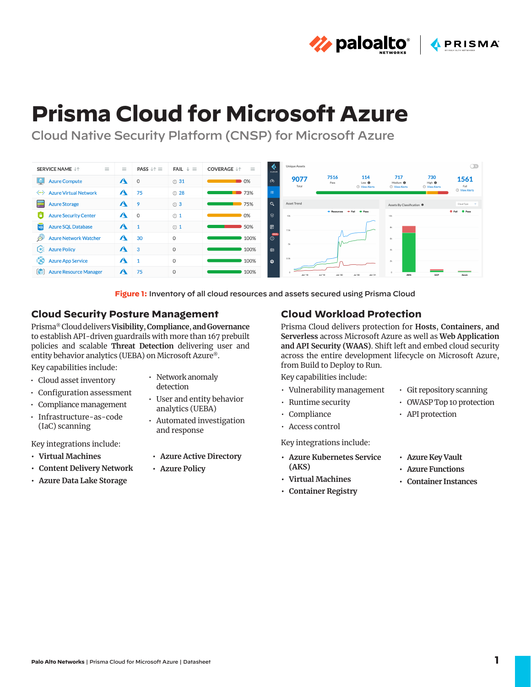**the paloalto**® **APRISMA** 

# **Prisma Cloud for Microsoft Azure**

Cloud Native Security Platform (CNSP) for Microsoft Azure



**Figure 1:** Inventory of all cloud resources and assets secured using Prisma Cloud

## **Cloud Security Posture Management**

Prisma® Cloud delivers **Visibility**, **Compliance**, **and Governance** to establish API-driven guardrails with more than 167 prebuilt policies and scalable **Threat Detection** delivering user and entity behavior analytics (UEBA) on Microsoft Azure®.

Key capabilities include:

- Cloud asset inventory
- Configuration assessment
- Compliance management
- Infrastructure-as-code (IaC) scanning

Key integrations include:

- **• Virtual Machines**
- **• Content Delivery Network**
- **• Azure Data Lake Storage**
- Network anomaly detection
- User and entity behavior analytics (UEBA)
- Automated investigation and response
- **• Azure Active Directory**
- **• Azure Policy**

# **Cloud Workload Protection**

Prisma Cloud delivers protection for **Hosts**, **Containers**, **and Serverless** across Microsoft Azure as well as **Web Application and API Security (WAAS)**. Shift left and embed cloud security across the entire development lifecycle on Microsoft Azure, from Build to Deploy to Run.

Key capabilities include:

- Vulnerability management
- Runtime security
- Compliance
- Access control

Key integrations include:

- **• Azure Kubernetes Service (AKS)**
- **• Virtual Machines**
- **• Container Registry**
- Git repository scanning
- OWASP Top 10 protection
- API protection
- **• Azure Key Vault**
- **• Azure Functions**
- **• Container Instances**